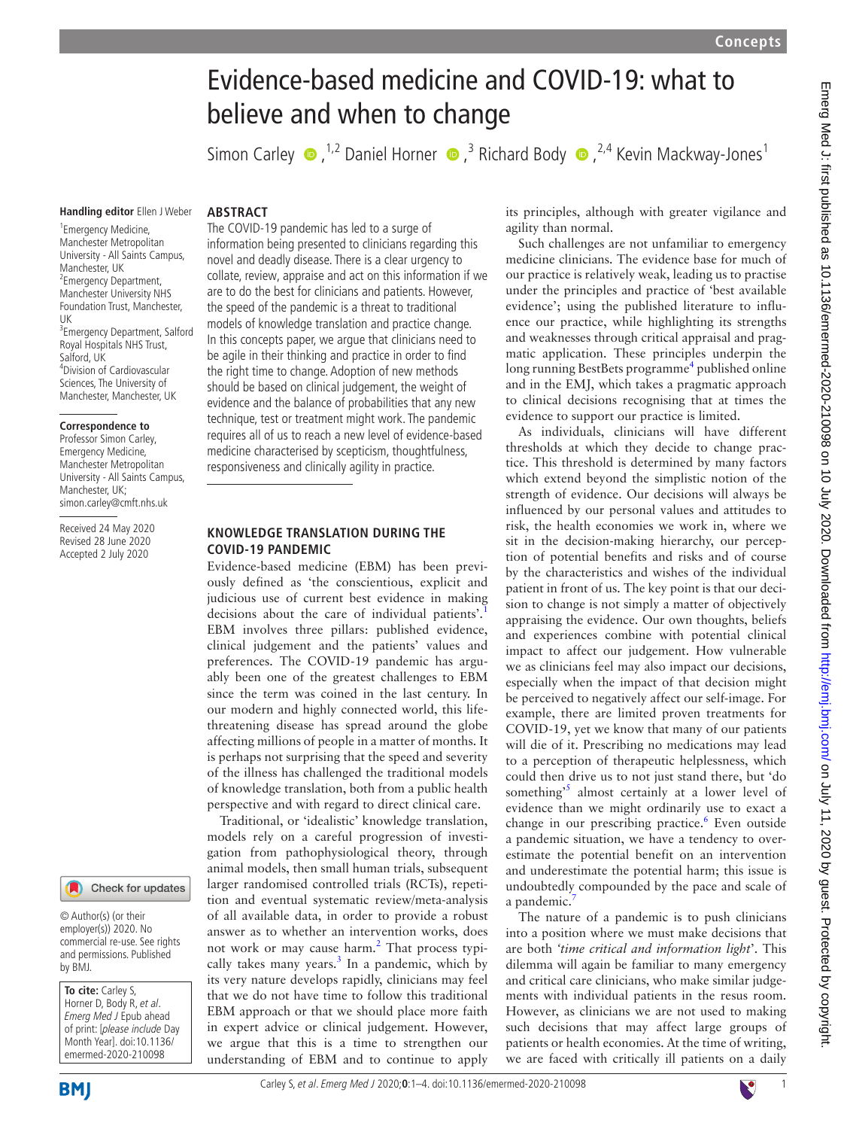# Evidence-based medicine and COVID-19: what to believe and when to change

SimonCarley  $\bullet$ , <sup>1,2</sup> Daniel Horner  $\bullet$ , <sup>3</sup> Richard Body  $\bullet$ , <sup>2,4</sup> Kevin Mackway-Jones<sup>1</sup>

**Handling editor** Ellen J Weber

#### **ABSTRACT**

1 Emergency Medicine, Manchester Metropolitan University - All Saints Campus, Manchester, UK <sup>2</sup> Emergency Department, Manchester University NHS Foundation Trust, Manchester, UK 3 Emergency Department, Salford Royal Hospitals NHS Trust, Salford, UK 4 Division of Cardiovascular Sciences, The University of Manchester, Manchester, UK

#### **Correspondence to**

Professor Simon Carley, Emergency Medicine, Manchester Metropolitan University - All Saints Campus, Manchester, UK; simon.carley@cmft.nhs.uk

Received 24 May 2020 Revised 28 June 2020 Accepted 2 July 2020

# Check for updates

© Author(s) (or their employer(s)) 2020. No commercial re-use. See rights and permissions. Published by BMJ.

**To cite:** Carley S, Horner D, Body R, et al. Emerg Med J Epub ahead of print: [please include Day Month Year]. doi:10.1136/ emermed-2020-210098

The COVID-19 pandemic has led to a surge of information being presented to clinicians regarding this novel and deadly disease. There is a clear urgency to collate, review, appraise and act on this information if we are to do the best for clinicians and patients. However, the speed of the pandemic is a threat to traditional models of knowledge translation and practice change. In this concepts paper, we argue that clinicians need to be agile in their thinking and practice in order to find the right time to change. Adoption of new methods should be based on clinical judgement, the weight of evidence and the balance of probabilities that any new technique, test or treatment might work. The pandemic requires all of us to reach a new level of evidence-based medicine characterised by scepticism, thoughtfulness, responsiveness and clinically agility in practice.

## **KNOWLEDGE TRANSLATION DURING THE COVID-19 PANDEMIC**

Evidence-based medicine (EBM) has been previously defined as 'the conscientious, explicit and judicious use of current best evidence in making decisions about the care of individual patients'.<sup>[1](#page-3-0)</sup> EBM involves three pillars: published evidence, clinical judgement and the patients' values and preferences. The COVID-19 pandemic has arguably been one of the greatest challenges to EBM since the term was coined in the last century. In our modern and highly connected world, this lifethreatening disease has spread around the globe affecting millions of people in a matter of months. It is perhaps not surprising that the speed and severity of the illness has challenged the traditional models of knowledge translation, both from a public health perspective and with regard to direct clinical care.

Traditional, or 'idealistic' knowledge translation, models rely on a careful progression of investigation from pathophysiological theory, through animal models, then small human trials, subsequent larger randomised controlled trials (RCTs), repetition and eventual systematic review/meta-analysis of all available data, in order to provide a robust answer as to whether an intervention works, does not work or may cause harm.<sup>[2](#page-3-1)</sup> That process typically takes many years. $3$  In a pandemic, which by its very nature develops rapidly, clinicians may feel that we do not have time to follow this traditional EBM approach or that we should place more faith in expert advice or clinical judgement. However, we argue that this is a time to strengthen our understanding of EBM and to continue to apply

its principles, although with greater vigilance and agility than normal.

Such challenges are not unfamiliar to emergency medicine clinicians. The evidence base for much of our practice is relatively weak, leading us to practise under the principles and practice of 'best available evidence'; using the published literature to influence our practice, while highlighting its strengths and weaknesses through critical appraisal and pragmatic application. These principles underpin the long running BestBets programme<sup>[4](#page-3-3)</sup> published online and in the EMJ, which takes a pragmatic approach to clinical decisions recognising that at times the evidence to support our practice is limited.

As individuals, clinicians will have different thresholds at which they decide to change practice. This threshold is determined by many factors which extend beyond the simplistic notion of the strength of evidence. Our decisions will always be influenced by our personal values and attitudes to risk, the health economies we work in, where we sit in the decision-making hierarchy, our perception of potential benefits and risks and of course by the characteristics and wishes of the individual patient in front of us. The key point is that our decision to change is not simply a matter of objectively appraising the evidence. Our own thoughts, beliefs and experiences combine with potential clinical impact to affect our judgement. How vulnerable we as clinicians feel may also impact our decisions, especially when the impact of that decision might be perceived to negatively affect our self-image. For example, there are limited proven treatments for COVID-19, yet we know that many of our patients will die of it. Prescribing no medications may lead to a perception of therapeutic helplessness, which could then drive us to not just stand there, but 'do something<sup>[5](#page-3-4)</sup> almost certainly at a lower level of evidence than we might ordinarily use to exact a change in our prescribing practice.<sup>6</sup> Even outside a pandemic situation, we have a tendency to overestimate the potential benefit on an intervention and underestimate the potential harm; this issue is undoubtedly compounded by the pace and scale of a pandemic.

The nature of a pandemic is to push clinicians into a position where we must make decisions that are both *'time critical and information light*'. This dilemma will again be familiar to many emergency and critical care clinicians, who make similar judgements with individual patients in the resus room. However, as clinicians we are not used to making such decisions that may affect large groups of patients or health economies. At the time of writing, we are faced with critically ill patients on a daily

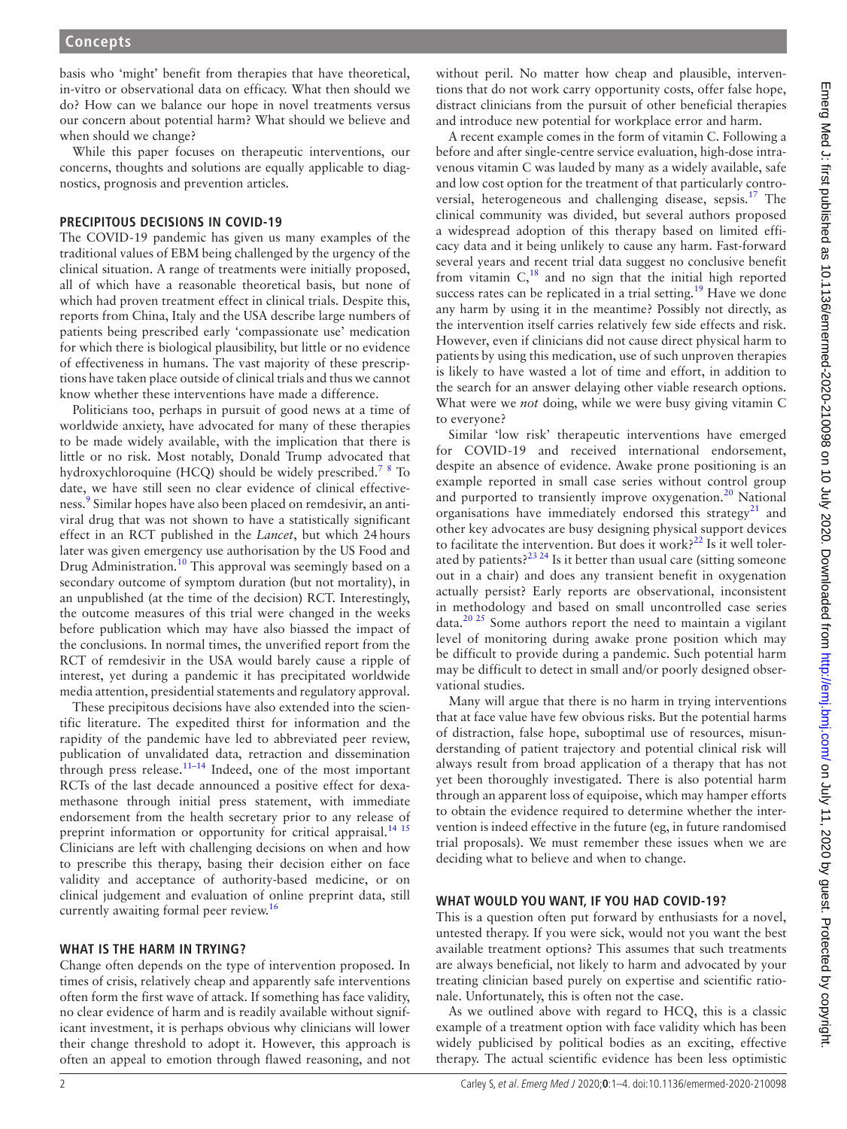basis who 'might' benefit from therapies that have theoretical, in-vitro or observational data on efficacy. What then should we do? How can we balance our hope in novel treatments versus our concern about potential harm? What should we believe and when should we change?

While this paper focuses on therapeutic interventions, our concerns, thoughts and solutions are equally applicable to diagnostics, prognosis and prevention articles.

## **PRECIPITOUS DECISIONS IN COVID-19**

The COVID-19 pandemic has given us many examples of the traditional values of EBM being challenged by the urgency of the clinical situation. A range of treatments were initially proposed, all of which have a reasonable theoretical basis, but none of which had proven treatment effect in clinical trials. Despite this, reports from China, Italy and the USA describe large numbers of patients being prescribed early 'compassionate use' medication for which there is biological plausibility, but little or no evidence of effectiveness in humans. The vast majority of these prescriptions have taken place outside of clinical trials and thus we cannot know whether these interventions have made a difference.

Politicians too, perhaps in pursuit of good news at a time of worldwide anxiety, have advocated for many of these therapies to be made widely available, with the implication that there is little or no risk. Most notably, Donald Trump advocated that hydroxychloroquine (HCQ) should be widely prescribed.<sup>[7](#page-3-6)[8](#page-3-7)</sup> To date, we have still seen no clear evidence of clinical effectiveness.<sup>9</sup> Similar hopes have also been placed on remdesivir, an antiviral drug that was not shown to have a statistically significant effect in an RCT published in the *Lancet*, but which 24hours later was given emergency use authorisation by the US Food and Drug Administration.<sup>[10](#page-3-9)</sup> This approval was seemingly based on a secondary outcome of symptom duration (but not mortality), in an unpublished (at the time of the decision) RCT. Interestingly, the outcome measures of this trial were changed in the weeks before publication which may have also biassed the impact of the conclusions. In normal times, the unverified report from the RCT of remdesivir in the USA would barely cause a ripple of interest, yet during a pandemic it has precipitated worldwide media attention, presidential statements and regulatory approval.

These precipitous decisions have also extended into the scientific literature. The expedited thirst for information and the rapidity of the pandemic have led to abbreviated peer review, publication of unvalidated data, retraction and dissemination through press release. $11-14$  Indeed, one of the most important RCTs of the last decade announced a positive effect for dexamethasone through initial press statement, with immediate endorsement from the health secretary prior to any release of preprint information or opportunity for critical appraisal.<sup>[14 15](#page-3-11)</sup> Clinicians are left with challenging decisions on when and how to prescribe this therapy, basing their decision either on face validity and acceptance of authority-based medicine, or on clinical judgement and evaluation of online preprint data, still currently awaiting formal peer review.<sup>[16](#page-3-12)</sup>

#### **WHAT IS THE HARM IN TRYING?**

Change often depends on the type of intervention proposed. In times of crisis, relatively cheap and apparently safe interventions often form the first wave of attack. If something has face validity, no clear evidence of harm and is readily available without significant investment, it is perhaps obvious why clinicians will lower their change threshold to adopt it. However, this approach is often an appeal to emotion through flawed reasoning, and not

without peril. No matter how cheap and plausible, interventions that do not work carry opportunity costs, offer false hope, distract clinicians from the pursuit of other beneficial therapies and introduce new potential for workplace error and harm.

A recent example comes in the form of vitamin C. Following a before and after single-centre service evaluation, high-dose intravenous vitamin C was lauded by many as a widely available, safe and low cost option for the treatment of that particularly controversial, heterogeneous and challenging disease, sepsis.<sup>17</sup> The clinical community was divided, but several authors proposed a widespread adoption of this therapy based on limited efficacy data and it being unlikely to cause any harm. Fast-forward several years and recent trial data suggest no conclusive benefit from vitamin  $C<sub>18</sub>$  $C<sub>18</sub>$  $C<sub>18</sub>$  and no sign that the initial high reported success rates can be replicated in a trial setting.<sup>19</sup> Have we done any harm by using it in the meantime? Possibly not directly, as the intervention itself carries relatively few side effects and risk. However, even if clinicians did not cause direct physical harm to patients by using this medication, use of such unproven therapies is likely to have wasted a lot of time and effort, in addition to the search for an answer delaying other viable research options. What were we *not* doing, while we were busy giving vitamin C to everyone?

Similar 'low risk' therapeutic interventions have emerged for COVID-19 and received international endorsement, despite an absence of evidence. Awake prone positioning is an example reported in small case series without control group and purported to transiently improve oxygenation.<sup>20</sup> National organisations have immediately endorsed this strategy $21$  and other key advocates are busy designing physical support devices to facilitate the intervention. But does it work? $22$  Is it well tolerated by patients? $2^{23}$  24 Is it better than usual care (sitting someone out in a chair) and does any transient benefit in oxygenation actually persist? Early reports are observational, inconsistent in methodology and based on small uncontrolled case series  $data.<sup>20 25</sup>$  $data.<sup>20 25</sup>$  $data.<sup>20 25</sup>$  Some authors report the need to maintain a vigilant level of monitoring during awake prone position which may be difficult to provide during a pandemic. Such potential harm may be difficult to detect in small and/or poorly designed observational studies.

Many will argue that there is no harm in trying interventions that at face value have few obvious risks. But the potential harms of distraction, false hope, suboptimal use of resources, misunderstanding of patient trajectory and potential clinical risk will always result from broad application of a therapy that has not yet been thoroughly investigated. There is also potential harm through an apparent loss of equipoise, which may hamper efforts to obtain the evidence required to determine whether the intervention is indeed effective in the future (eg, in future randomised trial proposals). We must remember these issues when we are deciding what to believe and when to change.

### **WHAT WOULD YOU WANT, IF YOU HAD COVID-19?**

This is a question often put forward by enthusiasts for a novel, untested therapy. If you were sick, would not you want the best available treatment options? This assumes that such treatments are always beneficial, not likely to harm and advocated by your treating clinician based purely on expertise and scientific rationale. Unfortunately, this is often not the case.

As we outlined above with regard to HCQ, this is a classic example of a treatment option with face validity which has been widely publicised by political bodies as an exciting, effective therapy. The actual scientific evidence has been less optimistic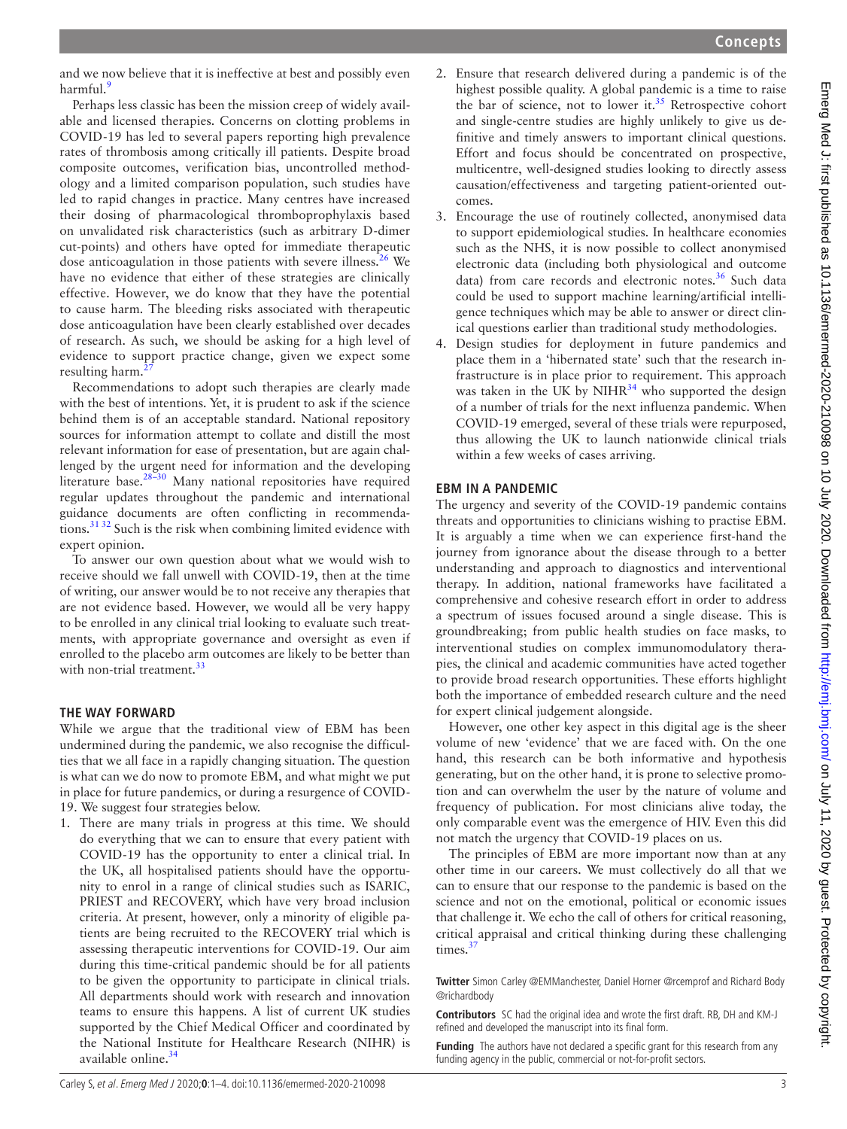and we now believe that it is ineffective at best and possibly even harmful.<sup>9</sup>

Perhaps less classic has been the mission creep of widely available and licensed therapies. Concerns on clotting problems in COVID-19 has led to several papers reporting high prevalence rates of thrombosis among critically ill patients. Despite broad composite outcomes, verification bias, uncontrolled methodology and a limited comparison population, such studies have led to rapid changes in practice. Many centres have increased their dosing of pharmacological thromboprophylaxis based on unvalidated risk characteristics (such as arbitrary D-dimer cut-points) and others have opted for immediate therapeutic dose anticoagulation in those patients with severe illness.<sup>26</sup> We have no evidence that either of these strategies are clinically effective. However, we do know that they have the potential to cause harm. The bleeding risks associated with therapeutic dose anticoagulation have been clearly established over decades of research. As such, we should be asking for a high level of evidence to support practice change, given we expect some resulting harm.

Recommendations to adopt such therapies are clearly made with the best of intentions. Yet, it is prudent to ask if the science behind them is of an acceptable standard. National repository sources for information attempt to collate and distill the most relevant information for ease of presentation, but are again challenged by the urgent need for information and the developing literature base.<sup>28-30</sup> Many national repositories have required regular updates throughout the pandemic and international guidance documents are often conflicting in recommendations.[31 32](#page-3-23) Such is the risk when combining limited evidence with expert opinion.

To answer our own question about what we would wish to receive should we fall unwell with COVID-19, then at the time of writing, our answer would be to not receive any therapies that are not evidence based. However, we would all be very happy to be enrolled in any clinical trial looking to evaluate such treatments, with appropriate governance and oversight as even if enrolled to the placebo arm outcomes are likely to be better than with non-trial treatment.<sup>[33](#page-3-24)</sup>

# **THE WAY FORWARD**

While we argue that the traditional view of EBM has been undermined during the pandemic, we also recognise the difficulties that we all face in a rapidly changing situation. The question is what can we do now to promote EBM, and what might we put in place for future pandemics, or during a resurgence of COVID-19. We suggest four strategies below.

1. There are many trials in progress at this time. We should do everything that we can to ensure that every patient with COVID-19 has the opportunity to enter a clinical trial. In the UK, all hospitalised patients should have the opportunity to enrol in a range of clinical studies such as ISARIC, PRIEST and RECOVERY, which have very broad inclusion criteria. At present, however, only a minority of eligible patients are being recruited to the RECOVERY trial which is assessing therapeutic interventions for COVID-19. Our aim during this time-critical pandemic should be for all patients to be given the opportunity to participate in clinical trials. All departments should work with research and innovation teams to ensure this happens. A list of current UK studies supported by the Chief Medical Officer and coordinated by the National Institute for Healthcare Research (NIHR) is available online.<sup>[34](#page-3-25)</sup>

- 2. Ensure that research delivered during a pandemic is of the highest possible quality. A global pandemic is a time to raise the bar of science, not to lower it.<sup>35</sup> Retrospective cohort and single-centre studies are highly unlikely to give us definitive and timely answers to important clinical questions. Effort and focus should be concentrated on prospective, multicentre, well-designed studies looking to directly assess causation/effectiveness and targeting patient-oriented outcomes.
- 3. Encourage the use of routinely collected, anonymised data to support epidemiological studies. In healthcare economies such as the NHS, it is now possible to collect anonymised electronic data (including both physiological and outcome data) from care records and electronic notes.<sup>36</sup> Such data could be used to support machine learning/artificial intelligence techniques which may be able to answer or direct clinical questions earlier than traditional study methodologies.
- 4. Design studies for deployment in future pandemics and place them in a 'hibernated state' such that the research infrastructure is in place prior to requirement. This approach was taken in the UK by  $NIHR^{34}$  who supported the design of a number of trials for the next influenza pandemic. When COVID-19 emerged, several of these trials were repurposed, thus allowing the UK to launch nationwide clinical trials within a few weeks of cases arriving.

# **EBM IN A PANDEMIC**

The urgency and severity of the COVID-19 pandemic contains threats and opportunities to clinicians wishing to practise EBM. It is arguably a time when we can experience first-hand the journey from ignorance about the disease through to a better understanding and approach to diagnostics and interventional therapy. In addition, national frameworks have facilitated a comprehensive and cohesive research effort in order to address a spectrum of issues focused around a single disease. This is groundbreaking; from public health studies on face masks, to interventional studies on complex immunomodulatory therapies, the clinical and academic communities have acted together to provide broad research opportunities. These efforts highlight both the importance of embedded research culture and the need for expert clinical judgement alongside.

However, one other key aspect in this digital age is the sheer volume of new 'evidence' that we are faced with. On the one hand, this research can be both informative and hypothesis generating, but on the other hand, it is prone to selective promotion and can overwhelm the user by the nature of volume and frequency of publication. For most clinicians alive today, the only comparable event was the emergence of HIV. Even this did not match the urgency that COVID-19 places on us.

The principles of EBM are more important now than at any other time in our careers. We must collectively do all that we can to ensure that our response to the pandemic is based on the science and not on the emotional, political or economic issues that challenge it. We echo the call of others for critical reasoning, critical appraisal and critical thinking during these challenging times.<sup>3</sup>

**Twitter** Simon Carley [@EMManchester](https://twitter.com/EMManchester), Daniel Horner [@rcemprof](https://twitter.com/rcemprof) and Richard Body [@richardbody](https://twitter.com/richardbody)

**Contributors** SC had the original idea and wrote the first draft. RB, DH and KM-J refined and developed the manuscript into its final form.

**Funding** The authors have not declared a specific grant for this research from any funding agency in the public, commercial or not-for-profit sectors.